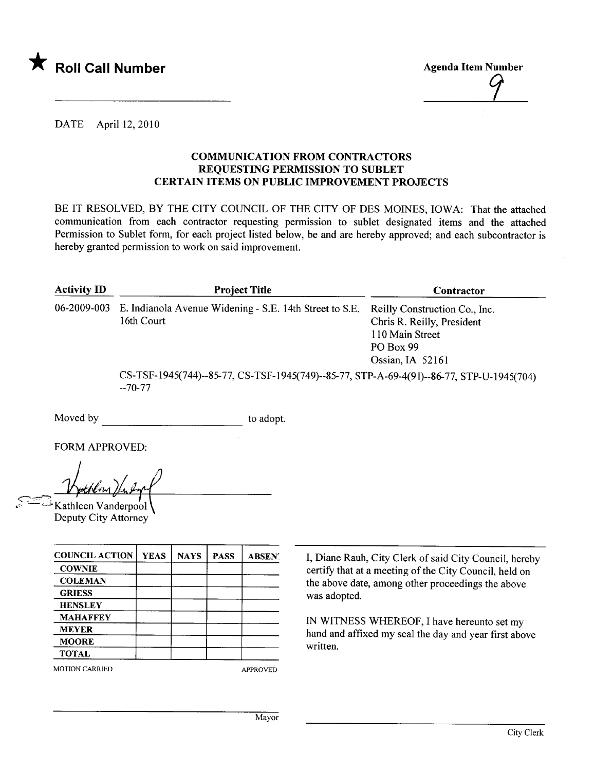

Agenda Item Number

## DATE April 12,2010

## COMMUNICATION FROM CONTRACTORS REQUESTING PERMISSION TO SUBLET CERTAIN ITEMS ON PUBLIC IMPROVEMENT PROJECTS

BE IT RESOLVED, BY THE CITY COUNCIL OF THE CITY OF DES MOINES, IOWA: That the attached communication from each contractor requesting permission to sublet designated items and the attached Permission to Sublet form, for each project listed below, be and are hereby approved; and each subcontractor is hereby granted permission to work on said improvement.

| <b>Activity ID</b> | <b>Project Title</b>                                                                                 | Contractor                                                                                                      |  |
|--------------------|------------------------------------------------------------------------------------------------------|-----------------------------------------------------------------------------------------------------------------|--|
| 06-2009-003        | E. Indianola Avenue Widening - S.E. 14th Street to S.E.<br>16th Court                                | Reilly Construction Co., Inc.<br>Chris R. Reilly, President<br>110 Main Street<br>PO Box 99<br>Ossian, IA 52161 |  |
|                    | CS-TSF-1945(744)--85-77, CS-TSF-1945(749)--85-77, STP-A-69-4(91)--86-77, STP-U-1945(704)<br>$-70-77$ |                                                                                                                 |  |

Moved by to adopt.

FORM APPROVED:

<u>Mythem fu fy</u><br>E Kathleen Vanderpoo

Deputy City Attorney

| <b>YEAS</b> | <b>NAYS</b> | <b>PASS</b> | <b>ABSENT</b> |
|-------------|-------------|-------------|---------------|
|             |             |             |               |
|             |             |             |               |
|             |             |             |               |
|             |             |             |               |
|             |             |             |               |
|             |             |             |               |
|             |             |             |               |
|             |             |             |               |
|             |             |             |               |

MOTION CARRIED APPROVED

I, Diane Rauh, City Clerk of said City Council, hereby certify that at a meeting of the City Council, held on the above date, among other proceedings the above was adopted.

IN WITNESS WHEREOF, I have hereunto set my hand and affxed my seal the day and year first above written.